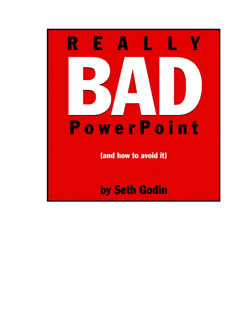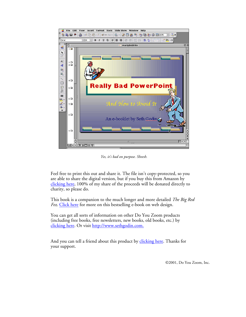

*Yes, it's bad on purpose. Sheesh.*

Feel free to print this out and share it. The file isn't copy-protected, so you [are able to share the di](http://www.amazon.com/exec/obidos/ASIN/B00005R2F7/permissionmarket/)gital version, but if you buy this from Amazon by clicking here, 100% of my share of the proceeds will be donated directly to charity, so please do.

This book is a companion to the much longer and more detailed *The Big Red Fez.* [Click here for](http://www.amazon.com/exec/obidos/ASIN/0743227905/permissionmarket/) more on this bestselling e-book on web design.

You can get all sorts of information on other Do You Zoom products [\(including free books, free newsletters, new books, old books, etc.](http://www.sethgodin.com)) by clicking here. Or visit http://www.sethgodin.com.

And you can tell a friend about this produ[ct by clicking here. Thank](mailto:yourfriend@isp.com?subject=great ebook to check out! &body=you can find it at http://www.amazon.com/exec/obidos/ASIN/B00005R2F7)s for your support.

©2001, Do You Zoom, Inc.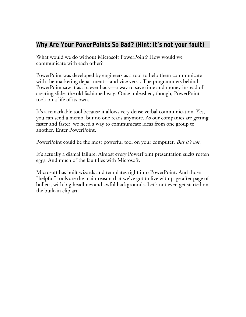#### **Why Are Your PowerPoints So Bad? (Hint: it's not your fault)**

What would we do without Microsoft PowerPoint? How would we communicate with each other?

PowerPoint was developed by engineers as a tool to help them communicate with the marketing department—and vice versa. The programmers behind PowerPoint saw it as a clever hack—a way to save time and money instead of creating slides the old fashioned way. Once unleashed, though, PowerPoint took on a life of its own.

It's a remarkable tool because it allows very dense verbal communication. Yes, you can send a memo, but no one reads anymore. As our companies are getting faster and faster, we need a way to communicate ideas from one group to another. Enter PowerPoint.

PowerPoint could be the most powerful tool on your computer. *But it's not.*

It's actually a dismal failure. Almost every PowerPoint presentation sucks rotten eggs. And much of the fault lies with Microsoft.

Microsoft has built wizards and templates right into PowerPoint. And those "helpful" tools are the main reason that we've got to live with page after page of bullets, with big headlines and awful backgrounds. Let's not even get started on the built-in clip art.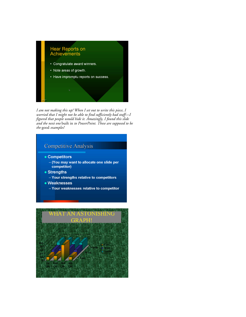

I am not making this up! When I set out to write this piece, I worried that I might not be able to find sufficiently bad stuff—I<br>figured that people would hide it. Amazingly, I found this slide and the next one built in to PowerPoint. These are supposed to be the good examples!

#### **Competitive Analysis**

- Competitors
	- (You may want to allocate one slide per competitor)
- Strengths
	- Your strengths relative to competitors
- Weaknesses
	- Your weaknesses relative to competitor

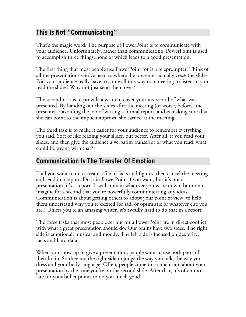## **This Is Not "Communicating"**

That's the magic word. The purpose of PowerPoint is to communicate with your audience. Unfortunately, rather than communicating, PowerPoint is used to accomplish three things, none of which leads to a good presentation.

The first thing that most people use PowerPoint for is a teleprompter! Think of all the presentations you've been to where the presenter actually *reads* the slides. Did your audience really have to come all this way to a meeting to listen to you read the slides? Why not just send them over?

The second task is to provide a written, cover-your-ass record of what was presented. By handing out the slides after the meeting (or worse, before), the presenter is avoiding the job of writing a formal report, and is making sure that she can point to the implicit approval she earned at the meeting.

The third task is to make it easier for your audience to remember everything you said. Sort of like reading your slides, but better. After all, if you read your slides, and then give the audience a verbatim transcript of what you read, what could be wrong with that?

#### **Communication Is The Transfer Of Emotion**

If all you want to do is create a file of facts and figures, then cancel the meeting and send in a report. Do it in PowerPoint if you want, but it's not a presentation, it's a report. It will contain whatever you write down, but don't imagine for a second that you're powerfully communicating any ideas. Communication is about getting others to adopt your point of view, to help them understand why you're excited (or sad, or optimistic or whatever else you are.) Unless you're an amazing writer, it's awfully hard to do that in a report.

The three tasks that most people set out for a PowerPoint are in direct conflict with what a great presentation should do. Our brains have two sides. The right side is emotional, musical and moody. The left side is focused on dexterity, facts and hard data.

When you show up to give a presentation, people want to use both parts of their brain. So they use the right side to judge the way you talk, the way you dress and your body language. Often, people come to a conclusion about your presentation by the time you're on the second slide. After that, it's often too late for your bullet points to do you much good.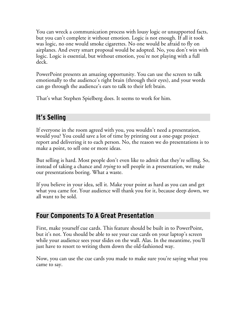You can wreck a communication process with lousy logic or unsupported facts, but you can't complete it without emotion. Logic is not enough. If all it took was logic, no one would smoke cigarettes. No one would be afraid to fly on airplanes. And every smart proposal would be adopted. No, you don't win with logic. Logic is essential, but without emotion, you're not playing with a full deck.

PowerPoint presents an amazing opportunity. You can use the screen to talk emotionally to the audience's right brain (through their eyes), and your words can go through the audience's ears to talk to their left brain.

That's what Stephen Spielberg does. It seems to work for him.

# **It's Selling**

If everyone in the room agreed with you, you wouldn't need a presentation, would you? You could save a lot of time by printing out a one-page project report and delivering it to each person. No, the reason we do presentations is to make a point, to sell one or more ideas.

But selling is hard. Most people don't even like to admit that they're selling. So, instead of taking a chance and *trying* to sell people in a presentation, we make our presentations boring. What a waste.

If you believe in your idea, sell it. Make your point as hard as you can and get what you came for. Your audience will thank you for it, because deep down, we all want to be sold.

## **Four Components To A Great Presentation**

First, make yourself cue cards. This feature should be built in to PowerPoint, but it's not. You should be able to see your cue cards on your laptop's screen while your audience sees your slides on the wall. Alas. In the meantime, you'll just have to resort to writing them down the old-fashioned way.

Now, you can use the cue cards you made to make sure you're saying what you came to say.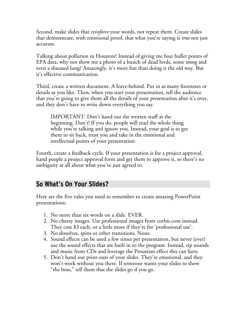Second, make slides that *reinforce* your words, not repeat them. Create slides that demonstrate, with emotional proof, that what you're saying is *true* not just accurate.

Talking about pollution in Houston? Instead of giving me four bullet points of EPA data, why not show me a photo of a bunch of dead birds, some smog and even a diseased lung? Amazingly, it's more fun than doing it the old way. But it's effective communication.

Third, create a written document. A leave-behind. Put in as many footnotes or details as you like. Then, when you start your presentation, tell the audience that you're going to give them all the details of your presentation after it's over, and they don't have to write down everything you say.

IMPORTANT: Don't hand out the written stuff at the beginning. Don't! If you do, people will read the whole thing while you're talking and ignore you. Instead, your goal is to get them to sit back, trust you and take in the emotional and intellectual points of your presentation.

Fourth, create a feedback cycle. If your presentation is for a project approval, hand people a project approval form and get them to approve it, so there's no ambiguity at all about what you've just agreed to.

#### **So What's On Your Slides?**

Here are the five rules you need to remember to create amazing PowerPoint presentations:

- 1. No more than six words on a slide. EVER.
- 2. No cheesy images. Use professional images from corbis.com instead. They cost \$3 each, or a little more if they're for 'professional use'.
- 3. No dissolves, spins or other transitions. None.
- 4. Sound effects can be used a few times per presentation, but never (ever) use the sound effects that are built in to the program. Instead, rip sounds and music from CDs and leverage the Proustian effect this can have.
- 5. Don't hand out print-outs of your slides. They're emotional, and they won't work without you there. If someone wants your slides to show "the boss," tell them that the slides go if you go.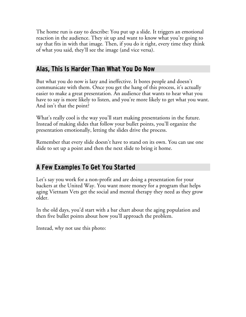The home run is easy to describe: You put up a slide. It triggers an emotional reaction in the audience. They sit up and want to know what you're going to say that fits in with that image. Then, if you do it right, every time they think of what you said, they'll see the image (and vice versa).

#### **Alas, This Is Harder Than What You Do Now**

But what you do now is lazy and ineffective. It bores people and doesn't communicate with them. Once you get the hang of this process, it's actually easier to make a great presentation. An audience that wants to hear what you have to say is more likely to listen, and you're more likely to get what you want. And isn't that the point?

What's really cool is the way you'll start making presentations in the future. Instead of making slides that follow your bullet points, you'll organize the presentation emotionally, letting the slides drive the process.

Remember that every slide doesn't have to stand on its own. You can use one slide to set up a point and then the next slide to bring it home.

## **A Few Examples To Get You Started**

Let's say you work for a non-profit and are doing a presentation for your backers at the United Way. You want more money for a program that helps aging Vietnam Vets get the social and mental therapy they need as they grow older.

In the old days, you'd start with a bar chart about the aging population and then five bullet points about how you'll approach the problem.

Instead, why not use this photo: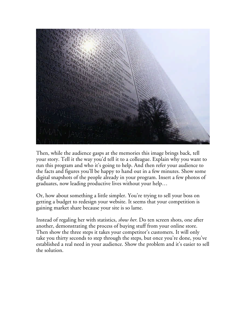

Then, while the audience gasps at the memories this image brings back, tell your story. Tell it the way you'd tell it to a colleague. Explain why you want to run this program and who it's going to help. And then refer your audience to the facts and figures you'll be happy to hand out in a few minutes. Show some digital snapshots of the people already in your program. Insert a few photos of graduates, now leading productive lives without your help…

Or, how about something a little simpler. You're trying to sell your boss on getting a budget to redesign your website. It seems that your competition is gaining market share because your site is so lame.

Instead of regaling her with statistics, *show her*. Do ten screen shots, one after another, demonstrating the process of buying stuff from your online store. Then show the three steps it takes your competitor's customers. It will only take you thirty seconds to step through the steps, but once you're done, you've established a real need in your audience. Show the problem and it's easier to sell the solution.